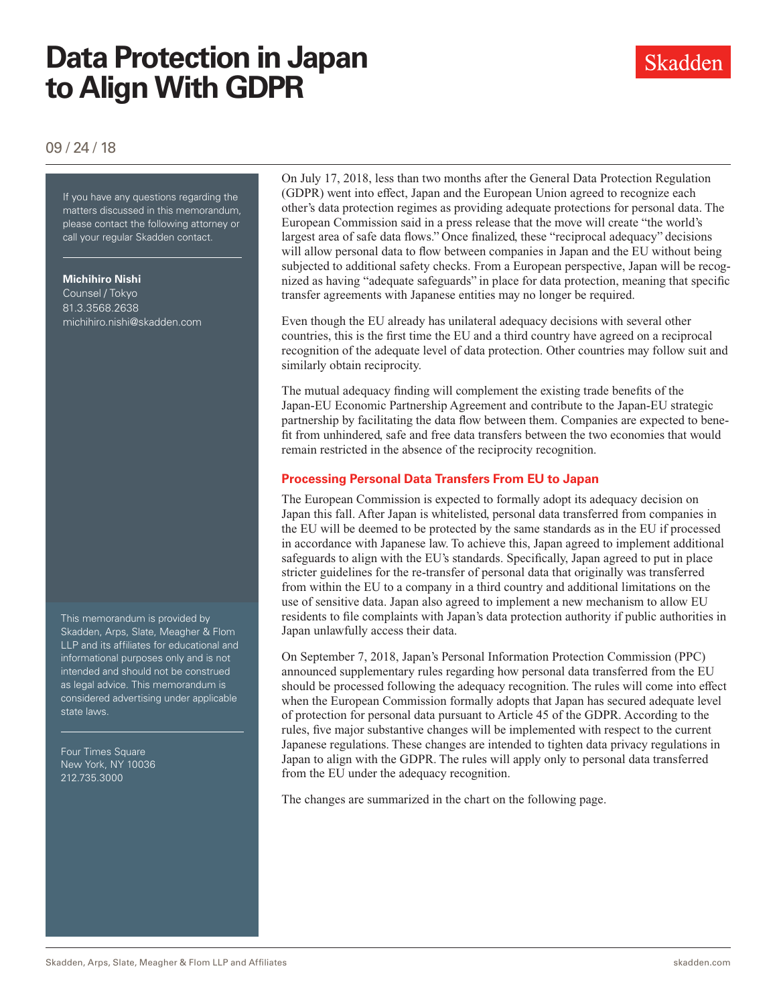# **Data Protection in Japan to Align With GDPR**

### 09 / 24 / 18

If you have any questions regarding If you have any questions regarding the matters discussed in this memorandum, please contact the following attorney or call your regular Skadden contact.

#### **Michihiro Nishi**

Counsel / Tokyo 81.3.3568.2638 michihiro.nishi@skadden.com

This memorandum is provided by Skadden, Arps, Slate, Meagher & Flom LLP and its affiliates for educational and informational purposes only and is not intended and should not be construed as legal advice. This memorandum is considered advertising under applicable state laws.

Four Times Square New York, NY 10036 212.735.3000

On July 17, 2018, less than two months after the General Data Protection Regulation (GDPR) went into effect, Japan and the European Union agreed to recognize each other's data protection regimes as providing adequate protections for personal data. The European Commission said in a press release that the move will create "the world's largest area of safe data flows." Once finalized, these "reciprocal adequacy" decisions will allow personal data to flow between companies in Japan and the EU without being subjected to additional safety checks. From a European perspective, Japan will be recognized as having "adequate safeguards" in place for data protection, meaning that specific transfer agreements with Japanese entities may no longer be required.

Even though the EU already has unilateral adequacy decisions with several other countries, this is the first time the EU and a third country have agreed on a reciprocal recognition of the adequate level of data protection. Other countries may follow suit and similarly obtain reciprocity.

The mutual adequacy finding will complement the existing trade benefits of the Japan-EU Economic Partnership Agreement and contribute to the Japan-EU strategic partnership by facilitating the data flow between them. Companies are expected to benefit from unhindered, safe and free data transfers between the two economies that would remain restricted in the absence of the reciprocity recognition.

### **Processing Personal Data Transfers From EU to Japan**

The European Commission is expected to formally adopt its adequacy decision on Japan this fall. After Japan is whitelisted, personal data transferred from companies in the EU will be deemed to be protected by the same standards as in the EU if processed in accordance with Japanese law. To achieve this, Japan agreed to implement additional safeguards to align with the EU's standards. Specifically, Japan agreed to put in place stricter guidelines for the re-transfer of personal data that originally was transferred from within the EU to a company in a third country and additional limitations on the use of sensitive data. Japan also agreed to implement a new mechanism to allow EU residents to file complaints with Japan's data protection authority if public authorities in Japan unlawfully access their data.

On September 7, 2018, Japan's Personal Information Protection Commission (PPC) announced supplementary rules regarding how personal data transferred from the EU should be processed following the adequacy recognition. The rules will come into effect when the European Commission formally adopts that Japan has secured adequate level of protection for personal data pursuant to Article 45 of the GDPR. According to the rules, five major substantive changes will be implemented with respect to the current Japanese regulations. These changes are intended to tighten data privacy regulations in Japan to align with the GDPR. The rules will apply only to personal data transferred from the EU under the adequacy recognition.

The changes are summarized in the chart on the following page.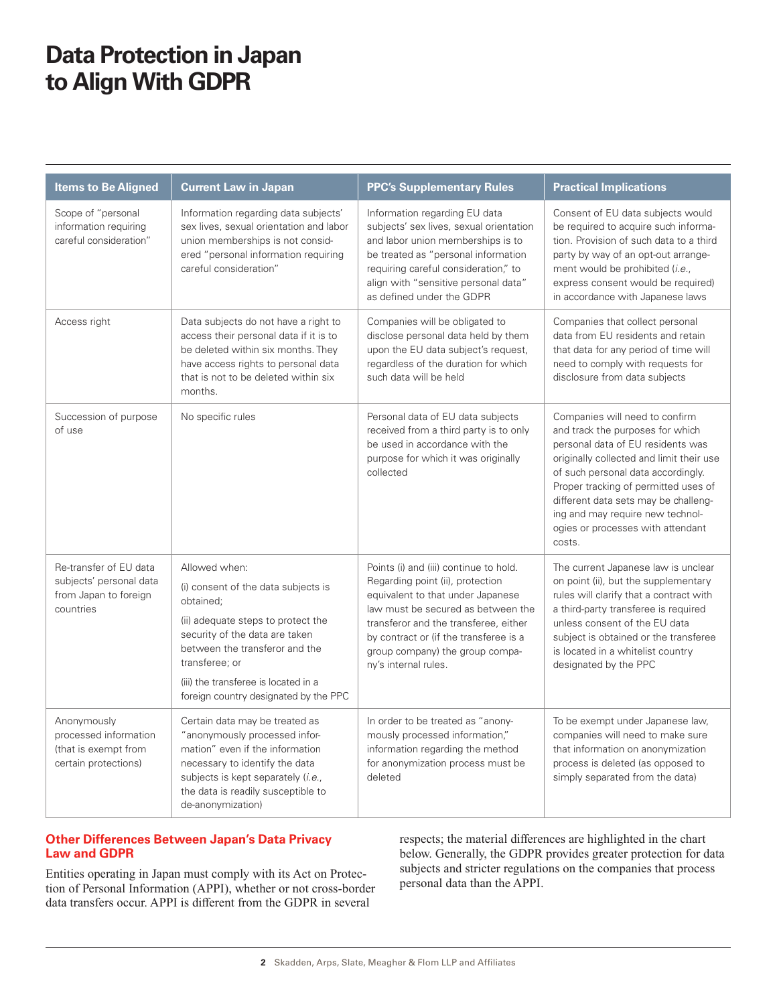## **Data Protection in Japan to Align With GDPR**

| <b>Items to Be Aligned</b>                                                              | <b>Current Law in Japan</b>                                                                                                                                                                                                                                                    | <b>PPC's Supplementary Rules</b>                                                                                                                                                                                                                                                                    | <b>Practical Implications</b>                                                                                                                                                                                                                                                                                                                                |
|-----------------------------------------------------------------------------------------|--------------------------------------------------------------------------------------------------------------------------------------------------------------------------------------------------------------------------------------------------------------------------------|-----------------------------------------------------------------------------------------------------------------------------------------------------------------------------------------------------------------------------------------------------------------------------------------------------|--------------------------------------------------------------------------------------------------------------------------------------------------------------------------------------------------------------------------------------------------------------------------------------------------------------------------------------------------------------|
| Scope of "personal<br>information requiring<br>careful consideration"                   | Information regarding data subjects'<br>sex lives, sexual orientation and labor<br>union memberships is not consid-<br>ered "personal information requiring<br>careful consideration"                                                                                          | Information regarding EU data<br>subjects' sex lives, sexual orientation<br>and labor union memberships is to<br>be treated as "personal information<br>requiring careful consideration," to<br>align with "sensitive personal data"<br>as defined under the GDPR                                   | Consent of EU data subjects would<br>be required to acquire such informa-<br>tion. Provision of such data to a third<br>party by way of an opt-out arrange-<br>ment would be prohibited (i.e.,<br>express consent would be required)<br>in accordance with Japanese laws                                                                                     |
| Access right                                                                            | Data subjects do not have a right to<br>access their personal data if it is to<br>be deleted within six months. They<br>have access rights to personal data<br>that is not to be deleted within six<br>months.                                                                 | Companies will be obligated to<br>disclose personal data held by them<br>upon the EU data subject's request,<br>regardless of the duration for which<br>such data will be held                                                                                                                      | Companies that collect personal<br>data from EU residents and retain<br>that data for any period of time will<br>need to comply with requests for<br>disclosure from data subjects                                                                                                                                                                           |
| Succession of purpose<br>of use                                                         | No specific rules                                                                                                                                                                                                                                                              | Personal data of EU data subjects<br>received from a third party is to only<br>be used in accordance with the<br>purpose for which it was originally<br>collected                                                                                                                                   | Companies will need to confirm<br>and track the purposes for which<br>personal data of EU residents was<br>originally collected and limit their use<br>of such personal data accordingly.<br>Proper tracking of permitted uses of<br>different data sets may be challeng-<br>ing and may require new technol-<br>ogies or processes with attendant<br>costs. |
| Re-transfer of EU data<br>subjects' personal data<br>from Japan to foreign<br>countries | Allowed when:<br>(i) consent of the data subjects is<br>obtained;<br>(ii) adequate steps to protect the<br>security of the data are taken<br>between the transferor and the<br>transferee; or<br>(iii) the transferee is located in a<br>foreign country designated by the PPC | Points (i) and (iii) continue to hold.<br>Regarding point (ii), protection<br>equivalent to that under Japanese<br>law must be secured as between the<br>transferor and the transferee, either<br>by contract or (if the transferee is a<br>group company) the group compa-<br>ny's internal rules. | The current Japanese law is unclear<br>on point (ii), but the supplementary<br>rules will clarify that a contract with<br>a third-party transferee is required<br>unless consent of the EU data<br>subject is obtained or the transferee<br>is located in a whitelist country<br>designated by the PPC                                                       |
| Anonymously<br>processed information<br>(that is exempt from<br>certain protections)    | Certain data may be treated as<br>"anonymously processed infor-<br>mation" even if the information<br>necessary to identify the data<br>subjects is kept separately (i.e.,<br>the data is readily susceptible to<br>de-anonymization)                                          | In order to be treated as "anony-<br>mously processed information,"<br>information regarding the method<br>for anonymization process must be<br>deleted                                                                                                                                             | To be exempt under Japanese law,<br>companies will need to make sure<br>that information on anonymization<br>process is deleted (as opposed to<br>simply separated from the data)                                                                                                                                                                            |

### **Other Differences Between Japan's Data Privacy Law and GDPR**

Entities operating in Japan must comply with its Act on Protection of Personal Information (APPI), whether or not cross-border data transfers occur. APPI is different from the GDPR in several

respects; the material differences are highlighted in the chart below. Generally, the GDPR provides greater protection for data subjects and stricter regulations on the companies that process personal data than the APPI.